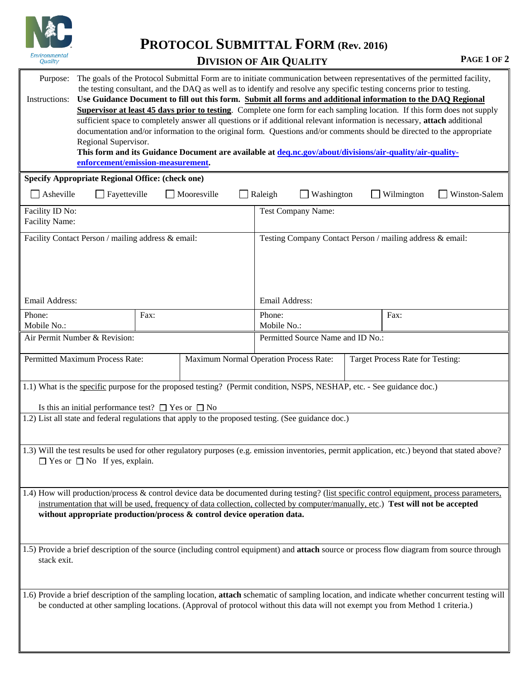

**PROTOCOL SUBMITTAL FORM (Rev. 2016)**

## **DIVISION OF AIR QUALITY PAGE 1 OF 2**

| The goals of the Protocol Submittal Form are to initiate communication between representatives of the permitted facility,<br>Purpose:<br>the testing consultant, and the DAQ as well as to identify and resolve any specific testing concerns prior to testing.<br>Use Guidance Document to fill out this form. Submit all forms and additional information to the DAQ Regional<br>Instructions:<br>Supervisor at least 45 days prior to testing. Complete one form for each sampling location. If this form does not supply<br>sufficient space to completely answer all questions or if additional relevant information is necessary, attach additional<br>documentation and/or information to the original form. Questions and/or comments should be directed to the appropriate<br>Regional Supervisor.<br>This form and its Guidance Document are available at deq.nc.gov/about/divisions/air-quality/air-quality-<br>enforcement/emission-measurement. |                                                           |  |                                   |                                                                            |  |  |  |  |  |  |  |
|--------------------------------------------------------------------------------------------------------------------------------------------------------------------------------------------------------------------------------------------------------------------------------------------------------------------------------------------------------------------------------------------------------------------------------------------------------------------------------------------------------------------------------------------------------------------------------------------------------------------------------------------------------------------------------------------------------------------------------------------------------------------------------------------------------------------------------------------------------------------------------------------------------------------------------------------------------------|-----------------------------------------------------------|--|-----------------------------------|----------------------------------------------------------------------------|--|--|--|--|--|--|--|
| <b>Specify Appropriate Regional Office: (check one)</b>                                                                                                                                                                                                                                                                                                                                                                                                                                                                                                                                                                                                                                                                                                                                                                                                                                                                                                      |                                                           |  |                                   |                                                                            |  |  |  |  |  |  |  |
| Fayetteville<br>Mooresville<br>Washington<br>Wilmington<br>Winston-Salem<br>Asheville<br>Raleigh                                                                                                                                                                                                                                                                                                                                                                                                                                                                                                                                                                                                                                                                                                                                                                                                                                                             |                                                           |  |                                   |                                                                            |  |  |  |  |  |  |  |
| Facility ID No:<br><b>Facility Name:</b>                                                                                                                                                                                                                                                                                                                                                                                                                                                                                                                                                                                                                                                                                                                                                                                                                                                                                                                     | Test Company Name:                                        |  |                                   |                                                                            |  |  |  |  |  |  |  |
| Facility Contact Person / mailing address & email:                                                                                                                                                                                                                                                                                                                                                                                                                                                                                                                                                                                                                                                                                                                                                                                                                                                                                                           | Testing Company Contact Person / mailing address & email: |  |                                   |                                                                            |  |  |  |  |  |  |  |
| Email Address:                                                                                                                                                                                                                                                                                                                                                                                                                                                                                                                                                                                                                                                                                                                                                                                                                                                                                                                                               |                                                           |  |                                   | Email Address:                                                             |  |  |  |  |  |  |  |
| Phone:<br>Mobile No.:                                                                                                                                                                                                                                                                                                                                                                                                                                                                                                                                                                                                                                                                                                                                                                                                                                                                                                                                        | Fax:                                                      |  | Phone:<br>Mobile No.:             | Fax:                                                                       |  |  |  |  |  |  |  |
| Air Permit Number & Revision:                                                                                                                                                                                                                                                                                                                                                                                                                                                                                                                                                                                                                                                                                                                                                                                                                                                                                                                                |                                                           |  | Permitted Source Name and ID No.: |                                                                            |  |  |  |  |  |  |  |
|                                                                                                                                                                                                                                                                                                                                                                                                                                                                                                                                                                                                                                                                                                                                                                                                                                                                                                                                                              | Permitted Maximum Process Rate:                           |  |                                   | Maximum Normal Operation Process Rate:<br>Target Process Rate for Testing: |  |  |  |  |  |  |  |
| 1.1) What is the specific purpose for the proposed testing? (Permit condition, NSPS, NESHAP, etc. - See guidance doc.)<br>Is this an initial performance test? $\Box$ Yes or $\Box$ No<br>1.2) List all state and federal regulations that apply to the proposed testing. (See guidance doc.)                                                                                                                                                                                                                                                                                                                                                                                                                                                                                                                                                                                                                                                                |                                                           |  |                                   |                                                                            |  |  |  |  |  |  |  |
| 1.3) Will the test results be used for other regulatory purposes (e.g. emission inventories, permit application, etc.) beyond that stated above?<br>$\Box$ Yes or $\Box$ No If yes, explain.                                                                                                                                                                                                                                                                                                                                                                                                                                                                                                                                                                                                                                                                                                                                                                 |                                                           |  |                                   |                                                                            |  |  |  |  |  |  |  |
| 1.4) How will production/process & control device data be documented during testing? (list specific control equipment, process parameters,<br>instrumentation that will be used, frequency of data collection, collected by computer/manually, etc.) Test will not be accepted<br>without appropriate production/process & control device operation data.                                                                                                                                                                                                                                                                                                                                                                                                                                                                                                                                                                                                    |                                                           |  |                                   |                                                                            |  |  |  |  |  |  |  |
| 1.5) Provide a brief description of the source (including control equipment) and attach source or process flow diagram from source through<br>stack exit.                                                                                                                                                                                                                                                                                                                                                                                                                                                                                                                                                                                                                                                                                                                                                                                                    |                                                           |  |                                   |                                                                            |  |  |  |  |  |  |  |
| 1.6) Provide a brief description of the sampling location, attach schematic of sampling location, and indicate whether concurrent testing will<br>be conducted at other sampling locations. (Approval of protocol without this data will not exempt you from Method 1 criteria.)                                                                                                                                                                                                                                                                                                                                                                                                                                                                                                                                                                                                                                                                             |                                                           |  |                                   |                                                                            |  |  |  |  |  |  |  |